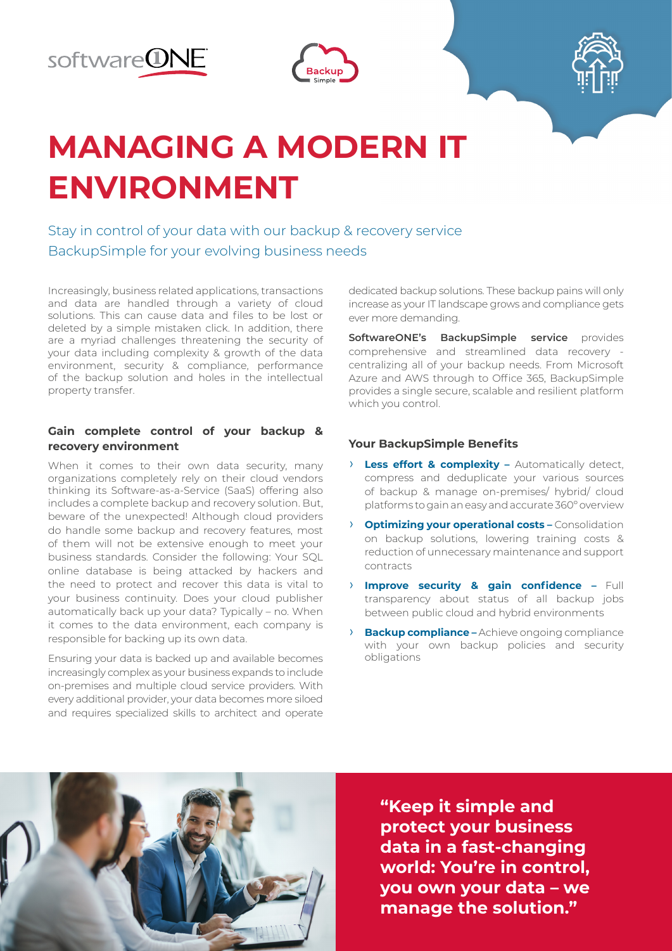





# **MANAGING A MODERN IT ENVIRONMENT**

Stay in control of your data with our backup & recovery service BackupSimple for your evolving business needs

Increasingly, business related applications, transactions and data are handled through a variety of cloud solutions. This can cause data and files to be lost or deleted by a simple mistaken click. In addition, there are a myriad challenges threatening the security of your data including complexity & growth of the data environment, security & compliance, performance of the backup solution and holes in the intellectual property transfer.

### **Gain complete control of your backup & recovery environment**

When it comes to their own data security, many organizations completely rely on their cloud vendors thinking its Software-as-a-Service (SaaS) offering also includes a complete backup and recovery solution. But, beware of the unexpected! Although cloud providers do handle some backup and recovery features, most of them will not be extensive enough to meet your business standards. Consider the following: Your SQL online database is being attacked by hackers and the need to protect and recover this data is vital to your business continuity. Does your cloud publisher automatically back up your data? Typically – no. When it comes to the data environment, each company is responsible for backing up its own data.

Ensuring your data is backed up and available becomes increasingly complex as your business expands to include on-premises and multiple cloud service providers. With every additional provider, your data becomes more siloed and requires specialized skills to architect and operate

dedicated backup solutions. These backup pains will only increase as your IT landscape grows and compliance gets ever more demanding.

**SoftwareONE's BackupSimple service** provides comprehensive and streamlined data recovery centralizing all of your backup needs. From Microsoft Azure and AWS through to Office 365, BackupSimple provides a single secure, scalable and resilient platform which you control.

### **Your BackupSimple Benefits**

- › **Less effort & complexity –** Automatically detect, compress and deduplicate your various sources of backup & manage on-premises/ hybrid/ cloud platforms to gain an easy and accurate 360º overview
- › **Optimizing your operational costs –** Consolidation on backup solutions, lowering training costs & reduction of unnecessary maintenance and support contracts
- › **Improve security & gain confidence –** Full transparency about status of all backup jobs between public cloud and hybrid environments
- **Backup compliance –** Achieve ongoing compliance with your own backup policies and security obligations



**"Keep it simple and protect your business data in a fast-changing world: You're in control, you own your data – we manage the solution."**